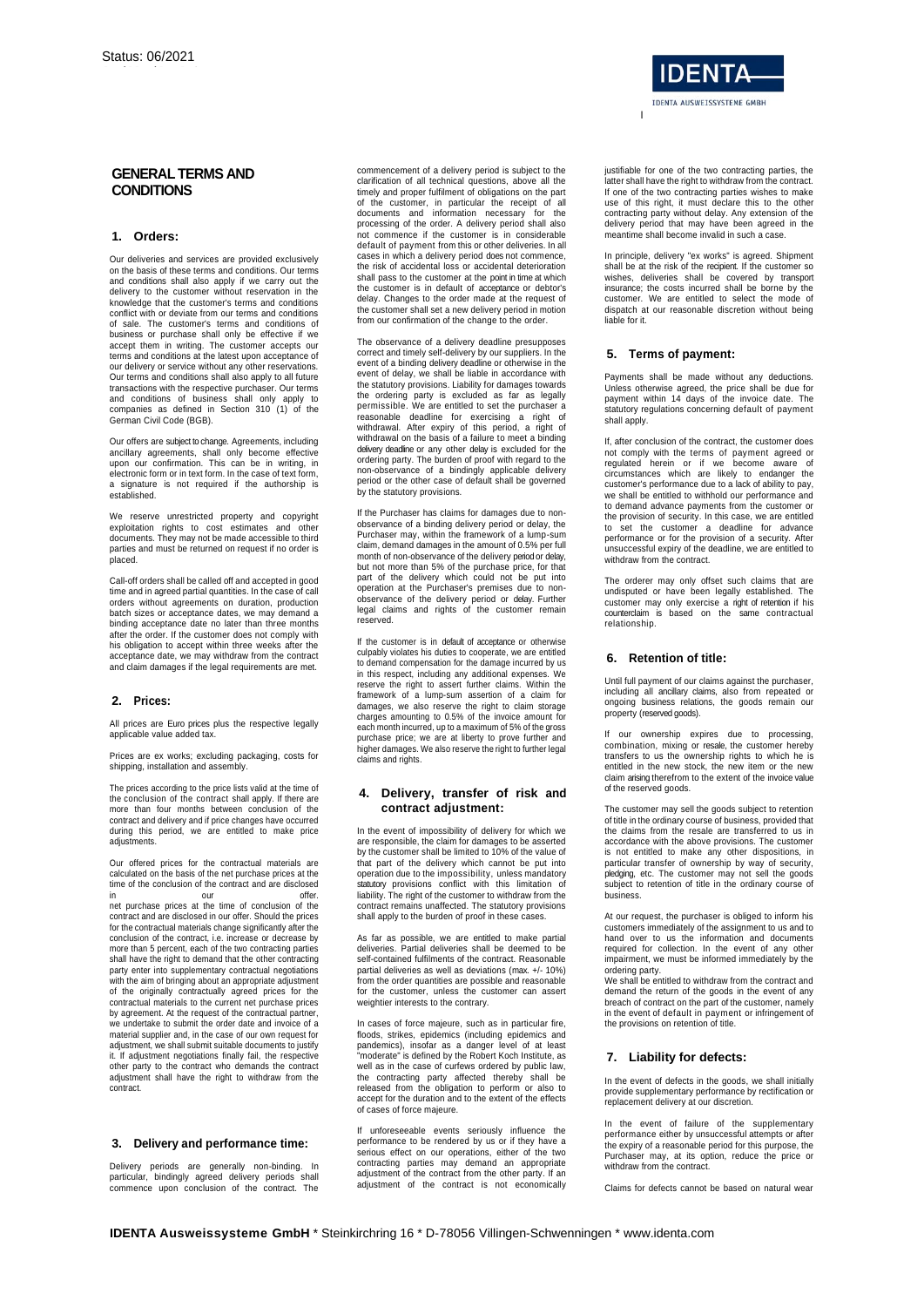# **GENERAL TERMS AND CONDITIONS**

# **1. Orders:**

Our deliveries and services are provided exclusively on the basis of these terms and conditions. Our terms and conditions shall also apply if we carry out the delivery to the customer without reservation in the knowledge that the customer's terms and conditions conflict with or deviate from our terms and conditions of sale. The customer's terms and conditions of business or purchase shall only be effective if we accept them in writing. The customer accepts our terms and conditions at the latest upon acceptance of our delivery or service without any other reservations. Our terms and conditions shall also apply to all future transactions with the respective purchaser. Our terms and conditions of business shall only apply to companies as defined in Section 310 (1) of the German Civil Code (BGB).

Our offers are subject to change. Agreements, including ancillary agreements, shall only become effective upon our confirmation. This can be in writing, in electronic form or in text form. In the case of text form, a signature is not required if the authorship is established.

We reserve unrestricted property and copyright exploitation rights to cost estimates and other documents. They may not be made accessible to third parties and must be returned on request if no order is placed.

Call-off orders shall be called off and accepted in good time and in agreed partial quantities. In the case of call orders without agreements on duration, production batch sizes or acceptance dates, we may demand a binding acceptance date no later than three months after the order. If the customer does not comply with his obligation to accept within three weeks after the acceptance date, we may withdraw from the contract and claim damages if the legal requirements are met.

## **2. Prices:**

All prices are Euro prices plus the respective legally applicable value added tax.

Prices are ex works; excluding packaging, costs for shipping, installation and assembly.

The prices according to the price lists valid at the time of the conclusion of the contract shall apply. If there are more than four months between conclusion of the contract and delivery and if price changes have occurred during this period, we are entitled to make price adjustments

Our offered prices for the contractual materials are calculated on the basis of the net purchase prices at the time of the conclusion of the contract and are disclosed

in our offer. net purchase prices at the time of conclusion of the contract and are disclosed in our offer. Should the prices for the contractual materials change significantly after the conclusion of the contract, i.e. increase or decrease by more than 5 percent, each of the two contracting parties shall have the right to demand that the other contracting party enter into supplementary contractual negotiations<br>with the aim of bringing about an appropriate adjustment<br>of the originally contractually agreed prices for the<br>contractual materials to the current net purchase price by agreement. At the request of the contractual partner we undertake to submit the order date and invoice of a material supplier and, in the case of our own request for adjustment, we shall submit suitable documents to justify it. If adjustment negotiations finally fail, the respective other party to the contract who demands the contract adjustment shall have the right to withdraw from the contract.

## **3. Delivery and performance time:**

Delivery periods are generally non-binding. In particular, bindingly agreed delivery periods shall commence upon conclusion of the contract. The

commencement of a delivery period is subject to the clarification of all technical questions, above all the timely and proper fulfilment of obligations on the part of the customer, in particular the receipt of all documents and information necessary for the processing of the order. A delivery period shall also not commence if the customer is in considerable default of payment from this or other deliveries. In all cases in which a delivery period does not commence, the risk of accidental loss or accidental deterioration shall pass to the customer at the point in time at which the customer is in default of acceptance or debtor's delay. Changes to the order made at the request of the customer shall set a new delivery period in motion from our confirmation of the change to the order.

The observance of a delivery deadline presupposes correct and timely self-delivery by our suppliers. In the event of a binding delivery deadline or otherwise in the event of delay, we shall be liable in accordance with the statutory provisions. Liability for damages towards the ordering party is excluded as far as legally permissible. We are entitled to set the purchaser a reasonable deadline for exercising a right of withdrawal. After expiry of this period, a right of withdrawal on the basis of a failure to meet a binding delivery deadline or any other delay is excluded for the ordering party. The burden of proof with regard to the non-observance of a bindingly applicable delivery period or the other case of default shall be governed by the statutory provisions.

If the Purchaser has claims for damages due to nonobservance of a binding delivery period or delay, the Purchaser may, within the framework of a lump-sum claim, demand damages in the amount of 0.5% per full month of non-observance of the delivery period or delay, but not more than 5% of the purchase price, for that part of the delivery which could not be put into operation at the Purchaser's premises due to nonobservance of the delivery period or delay. Further legal claims and rights of the customer remain reserved.

If the customer is in default of acceptance or otherwise culpably violates his duties to cooperate, we are entitled to demand compensation for the damage incurred by us in this respect, including any additional expenses. We reserve the right to assert further claims. Within the framework of a lump-sum assertion of a claim for damages, we also reserve the right to claim storage charges amounting to 0.5% of the invoice amount for each month incurred, up to a maximum of 5% of the gross purchase price; we are at liberty to prove further and higher damages. We also reserve the right to further legal claims and rights.

# **4. Delivery, transfer of risk and contract adjustment:**

In the event of impossibility of delivery for which we are responsible, the claim for damages to be asserted by the customer shall be limited to 10% of the value of that part of the delivery which cannot be put into operation due to the impossibility, unless mandatory statutory provisions conflict with this limitation of liability. The right of the customer to withdraw from the contract remains unaffected. The statutory provisions shall apply to the burden of proof in these cases.

As far as possible, we are entitled to make partial deliveries. Partial deliveries shall be deemed to be self-contained fulfilments of the contract. Reasonable partial deliveries as well as deviations (max. +/- 10%) from the order quantities are possible and reasonable for the customer, unless the customer can assert weightier interests to the contrary.

In cases of force majeure, such as in particular fire, floods, strikes, epidemics (including epidemics and pandemics), insofar as a danger level of at least "moderate" is defined by the Robert Koch Institute, as well as in the case of curfews ordered by public law, the contracting party affected thereby shall be released from the obligation to perform or also to accept for the duration and to the extent of the effects of cases of force majeure.

If unforeseeable events seriously influence the performance to be rendered by us or if they have a serious effect on our operations, either of the two contracting parties may demand an appropriate adjustment of the contract from the other party. If an adjustment of the contract is not economically

justifiable for one of the two contracting parties, the latter shall have the right to withdraw from the contract. If one of the two contracting parties wishes to make use of this right, it must declare this to the other contracting party without delay. Any extension of the delivery period that may have been agreed in the meantime shall become invalid in such a case.

In principle, delivery "ex works" is agreed. Shipment shall be at the risk of the recipient. If the customer so wishes, deliveries shall be covered by transport insurance; the costs incurred shall be borne by the customer. We are entitled to select the mode of dispatch at our reasonable discretion without being liable for it.

#### **5. Terms of payment:**

I

Payments shall be made without any deductions. Unless otherwise agreed, the price shall be due for payment within 14 days of the invoice date. The statutory regulations concerning default of payment shall apply.

If, after conclusion of the contract, the customer does not comply with the terms of payment agreed or regulated herein or if we become aware of circumstances which are likely to endanger the customer's performance due to a lack of ability to pay, we shall be entitled to withhold our performance and to demand advance payments from the customer or the provision of security. In this case, we are entitled to set the customer a deadline for advance performance or for the provision of a security. After unsuccessful expiry of the deadline, we are entitled to withdraw from the contract.

The orderer may only offset such claims that are undisputed or have been legally established. The customer may only exercise a right of retention if his counterclaim is based on the same contractual relationship.

#### **6. Retention of title:**

Until full payment of our claims against the purchaser, including all ancillary claims, also from repeated or ongoing business relations, the goods remain our property (reserved goods).

If our ownership expires due to processing, combination, mixing or resale, the customer hereby transfers to us the ownership rights to which he is entitled in the new stock, the new item or the new claim arising therefrom to the extent of the invoice value of the reserved goods.

The customer may sell the goods subject to retention of title in the ordinary course of business, provided that the claims from the resale are transferred to us in accordance with the above provisions. The customer is not entitled to make any other dispositions, in particular transfer of ownership by way of security, pledging, etc. The customer may not sell the goods subject to retention of title in the ordinary course of business.

At our request, the purchaser is obliged to inform his customers immediately of the assignment to us and to hand over to us the information and documents required for collection. In the event of any other impairment, we must be informed immediately by the

ordering party. We shall be entitled to withdraw from the contract and demand the return of the goods in the event of any breach of contract on the part of the customer, namely in the event of default in payment or infringement of the provisions on retention of title.

## **7. Liability for defects:**

In the event of defects in the goods, we shall initially provide supplementary performance by rectification or replacement delivery at our discretion.

In the event of failure of the supplementary performance either by unsuccessful attempts or after the expiry of a reasonable period for this purpose, the Purchaser may, at its option, reduce the price or withdraw from the contract.

Claims for defects cannot be based on natural wear